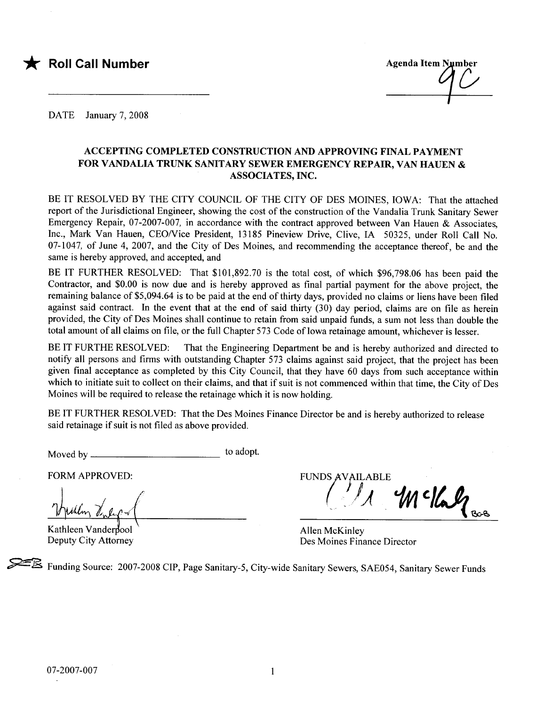

DATE January 7, 2008

#### ACCEPTING COMPLETED CONSTRUCTION AND APPROVIG FINAL PAYMENT FOR VANDALIA TRUNK SANITARY SEWER EMERGENCY REPAIR, VAN HAUEN & ASSOCIATES, INC.

BE IT RESOLVED BY THE CITY COUNCIL OF THE CITY OF DES MOINES, IOWA: That the attached report of the Jurisdictional Engineer, showing the cost of the construction of the Vandalia Trunk Sanitary Sewer Emergency Repair, 07-2007-007, in accordance with the contract approved between Van Hauen & Associates, Inc., Mark Van Hauen, CEO/Vice President, 13185 Pineview Drive, Clive, IA 50325, under Roll Call No. 07-1047, of June 4, 2007, and the City of Des Moines, and recommending the acceptance thereof, be and the same is hereby approved, and accepted, and

BE IT FURTHER RESOLVED: That \$101,892.70 is the total cost, of which \$96,798.06 has been paid the Contractor, and \$0.00 is now due and is hereby approved as final partial payment for the above project, the remaining balance of \$5,094.64 is to be paid at the end of thirty days, provided no claims or liens have been filed against said contract. In the event that at the end of said thirty  $(30)$  day period, claims are on file as herein provided, the City of Des Moines shall continue to retain from said unpaid funds, a sum not less than double the total amount of all claims on fie, or the full Chapter 573 Code of Iowa retainage amount, whichever is lesser.

BE IT FURTHE RESOLVED: That the Engineering Department be and is hereby authorized and directed to notify all persons and firms with outstanding Chapter 573 claims against said project, that the project has been given final acceptance as completed by this City Council, that they have 60 days from such acceptance within which to initiate suit to collect on their claims, and that if suit is not commenced within that time, the City of Des Moines will be required to release the retainage which it is now holding.

BE IT FURTHER RESOLVED: That the Des Moines Finance Director be and is hereby authorized to release said retainage if suit is not filed as above provided.

Moved by to adopt.

Kathleen Vanderpool

Deputy City Attorney

FORM APPROVED: FUNDS AVAILABLE  $4$   $169$ 

Allen McKinley Des Moines Finance Director

~ Funding Source: 2007-2008 CIP, Page Sanitary-5, City-wide Sanitary Sewers, SAE054, Sanitary Sewer Funds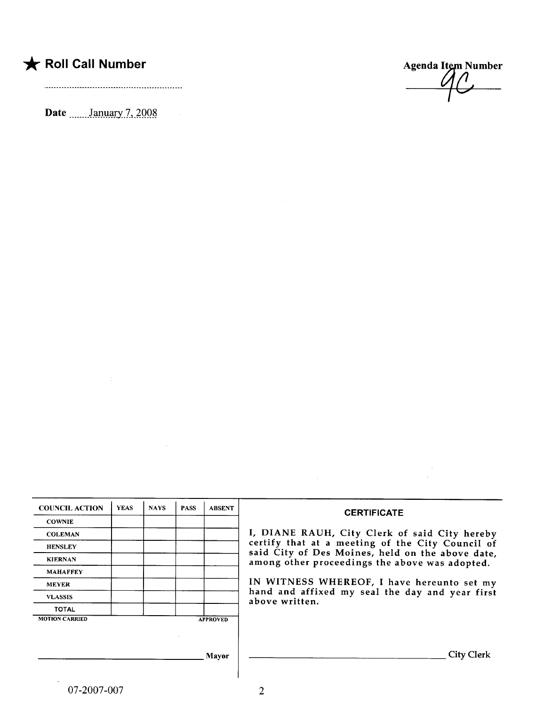## \* Roll Call Number Agenda Item Number

Date  $\frac{\text{January } 7,2008}{\text{?}}$ 

 $\mathcal{L}% _{M_{1},M_{2}}^{\alpha,\beta}(\varepsilon)=\mathcal{L}_{M_{1},M_{2}}^{\alpha,\beta}(\varepsilon)$ 

 $\frac{1}{2} \frac{d^2}{dt^2}$ 

| <b>CERTIFICATE</b>                                                                                 |                | <b>ABSENT</b>   | <b>PASS</b> | <b>NAYS</b> | <b>YEAS</b> | <b>COUNCIL ACTION</b> |
|----------------------------------------------------------------------------------------------------|----------------|-----------------|-------------|-------------|-------------|-----------------------|
|                                                                                                    |                |                 |             |             |             | <b>COWNIE</b>         |
| I, DIANE RAUH, City Clerk of said City hereby                                                      |                |                 |             |             |             | <b>COLEMAN</b>        |
| certify that at a meeting of the City Council of                                                   |                |                 |             |             |             | <b>HENSLEY</b>        |
| said City of Des Moines, held on the above date,<br>among other proceedings the above was adopted. |                |                 |             |             |             | <b>KIERNAN</b>        |
|                                                                                                    |                |                 |             |             |             | <b>MAHAFFEY</b>       |
| IN WITNESS WHEREOF, I have hereunto set my                                                         |                |                 |             |             |             | <b>MEYER</b>          |
| hand and affixed my seal the day and year first                                                    | above written. |                 |             |             |             | <b>VLASSIS</b>        |
|                                                                                                    |                |                 |             |             |             | <b>TOTAL</b>          |
|                                                                                                    |                | <b>APPROVED</b> |             |             |             | <b>MOTION CARRIED</b> |
|                                                                                                    |                |                 |             |             |             |                       |
|                                                                                                    |                |                 |             |             |             |                       |
| <b>City Clerk</b>                                                                                  |                | <b>Mayor</b>    |             |             |             |                       |
|                                                                                                    |                |                 |             |             |             |                       |

 $\sim 10^7$ 

 $\mathcal{L}^{\text{max}}_{\text{max}}$  and  $\mathcal{L}^{\text{max}}_{\text{max}}$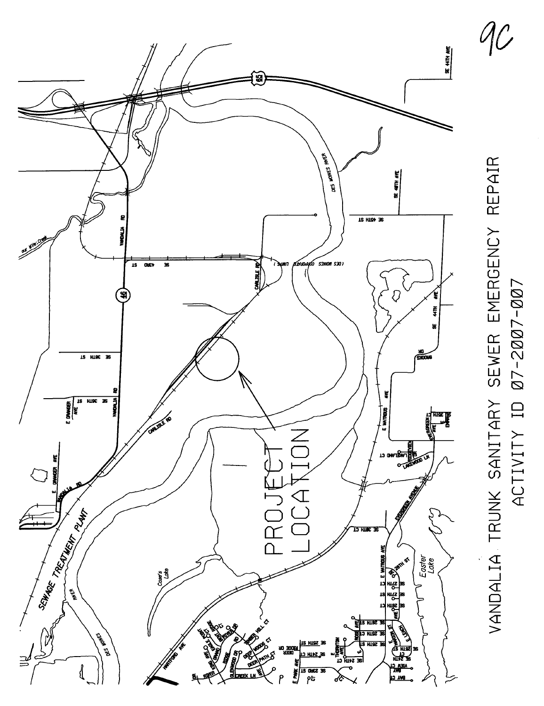

VANDALIA TRUNK SANITARY SEWER EMERGENCY REPAIR VANDALIA TRUNK SANITARY SEWER EMERGENCY REPAIR 07-2007-007 ACTIVITY 10 07-2007-007 ACTIVITY ID

 $q_{\mathcal{C}}$ /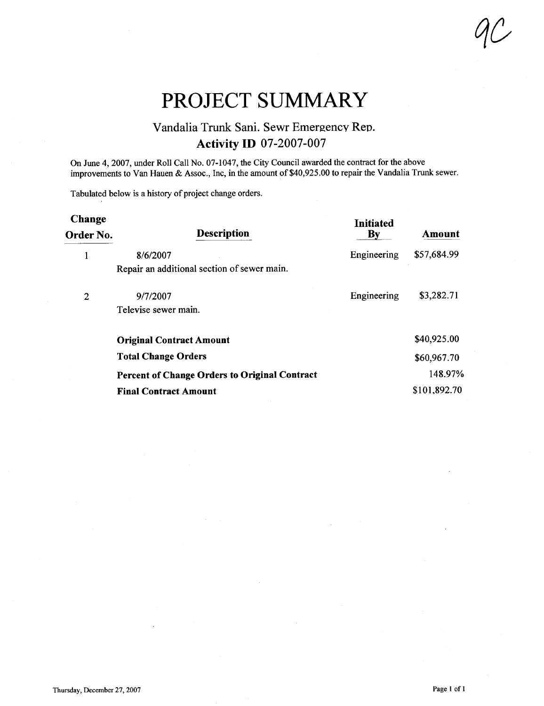PROJECT SUMMARY

### Vandalia Trunk Sani. Sewr Emergency Rep. Activity ID 07-2007-007

On June 4,2007, under Roll Call No. 07-1047, the City Council awarded the contract for the above improvements to Van Hauen & Assoc., Inc, in the amount of \$40,925.00 to repair the Vandalia Trunk sewer.

Tabulated below is a history of project change orders.

| Change<br>Order No. | <b>Description</b>                                   | Initiated<br>$\mathbf{B}\mathbf{y}$ | Amount       |
|---------------------|------------------------------------------------------|-------------------------------------|--------------|
|                     | 8/6/2007                                             | Engineering                         | \$57,684.99  |
|                     | Repair an additional section of sewer main.          |                                     |              |
| 2                   | 9/7/2007                                             | Engineering                         | \$3,282.71   |
|                     | Televise sewer main.                                 |                                     |              |
|                     | <b>Original Contract Amount</b>                      |                                     | \$40,925.00  |
|                     | <b>Total Change Orders</b>                           |                                     | \$60,967.70  |
|                     | <b>Percent of Change Orders to Original Contract</b> |                                     | 148.97%      |
|                     | <b>Final Contract Amount</b>                         |                                     | \$101,892.70 |

qc,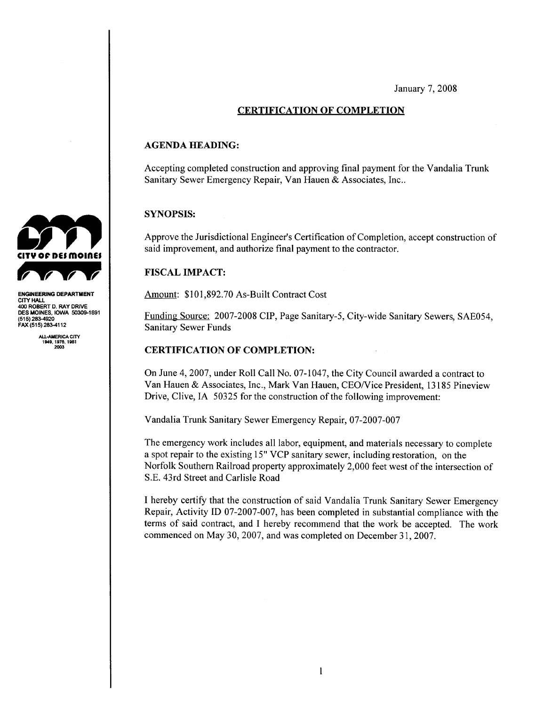January 7, 2008

#### CERTIFICATION OF COMPLETION

#### AGENDA HEADING:

Accepting completed construction and approving final payment for the Vandalia Trunk Sanitary Sewer Emergency Repair, Van Hauen & Associates, Inc..

#### SYNOPSIS:

Approve the Jurisdictional Engineer's Certification of Completion, accept construction of said improvement, and authorize final payment to the contractor.

#### FISCAL IMPACT:

Amount: \$101,892.70 As-Built Contract Cost

Funding Source: 2007-2008 CIP, Page Sanitary-5, City-wide Sanitary Sewers, SAE054, Sanitary Sewer Funds

#### CERTIFICATION OF COMPLETION:

On June 4,2007, under Roll Call No. 07-1047, the City Council awarded a contract to Van Hauen & Associates, Inc., Mark Van Hauen, CEONice President, 13185 Pineview Drive, Clive, IA 50325 for the construction of the following improvement:

Vandalia Trunk Sanitary Sewer Emergency Repair, 07-2007-007

The emergency work includes all labor, equipment, and materials necessary to complete a spot repair to the existing 15" VCP sanitary sewer, including restoration, on the Norfolk Southern Railroad property approximately 2,000 feet west of the intersection of S.E. 43rd Street and Carlisle Road

I hereby certify that the construction of said Vandalia Trunk Sanitary Sewer Emergency Repair, Activity ID 07-2007-007, has been completed in substantial compliance with the terms of said contract, and I hereby recommend that the work be accepted. The work commenced on May 30, 2007, and was completed on December 31,2007.



ENGINEERING DEPARTMENT CITY HALL 40 ROBERT D. RAY DRIVE DES MOINES, IOWA 50309-1891<br>(515) <mark>283-4920</mark> FAX (515) 283-4112

ALL-AMERICA CITY<br>1949, 1976, 1981<br>2003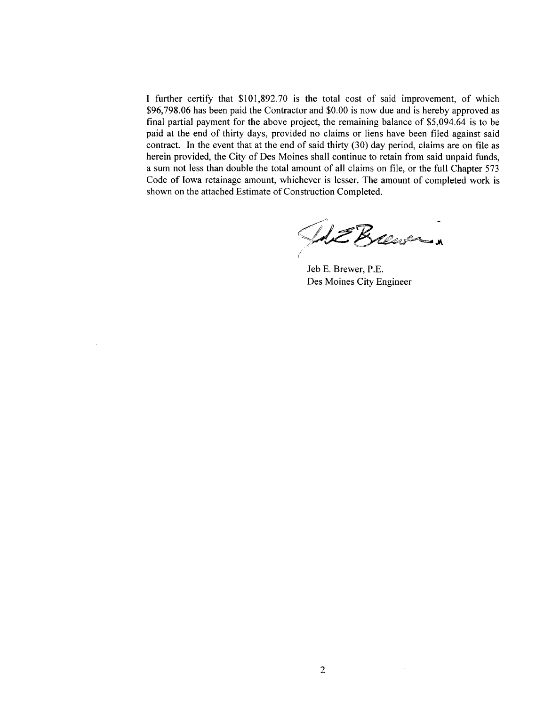I further certify that \$101,892.70 is the total cost of said improvement, of which \$96,798.06 has been paid the Contractor and \$0.00 is now due and is hereby approved as final partial payment for the above project, the remaining balance of \$5,094.64 is to be paid at the end of thirty days, provided no claims or liens have been filed against said contract. In the event that at the end of said thirty  $(30)$  day period, claims are on file as herein provided, the City of Des Moines shall continue to retain from said unpaid funds, a sum not less than double the total amount of all claims on fie, or the full Chapter 573 Code of Iowa retainage amount, whichever is lesser. The amount of completed work is shown on the attached Estimate of Construction Completed.

UE Brewer

Jeb E. Brewer, P.E. Des Moines City Engineer